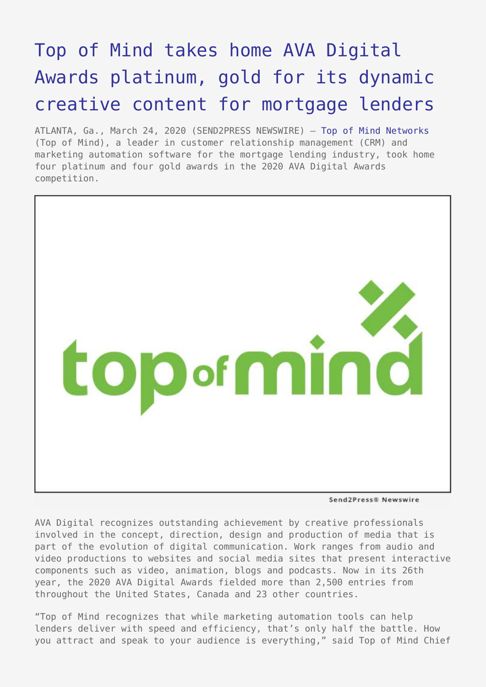## [Top of Mind takes home AVA Digital](https://www.send2press.com/wire/top-of-mind-takes-home-ava-digital-awards-platinum-gold-for-its-dynamic-creative-content-for-mortgage-lenders/) [Awards platinum, gold for its dynamic](https://www.send2press.com/wire/top-of-mind-takes-home-ava-digital-awards-platinum-gold-for-its-dynamic-creative-content-for-mortgage-lenders/) [creative content for mortgage lenders](https://www.send2press.com/wire/top-of-mind-takes-home-ava-digital-awards-platinum-gold-for-its-dynamic-creative-content-for-mortgage-lenders/)

ATLANTA, Ga., March 24, 2020 (SEND2PRESS NEWSWIRE) — [Top of Mind Networks](https://www.topofmind.com/) (Top of Mind), a leader in customer relationship management (CRM) and marketing automation software for the mortgage lending industry, took home four platinum and four gold awards in the 2020 AVA Digital Awards competition.



Send2Press® Newswire

AVA Digital recognizes outstanding achievement by creative professionals involved in the concept, direction, design and production of media that is part of the evolution of digital communication. Work ranges from audio and video productions to websites and social media sites that present interactive components such as video, animation, blogs and podcasts. Now in its 26th year, the 2020 AVA Digital Awards fielded more than 2,500 entries from throughout the United States, Canada and 23 other countries.

"Top of Mind recognizes that while marketing automation tools can help lenders deliver with speed and efficiency, that's only half the battle. How you attract and speak to your audience is everything," said Top of Mind Chief